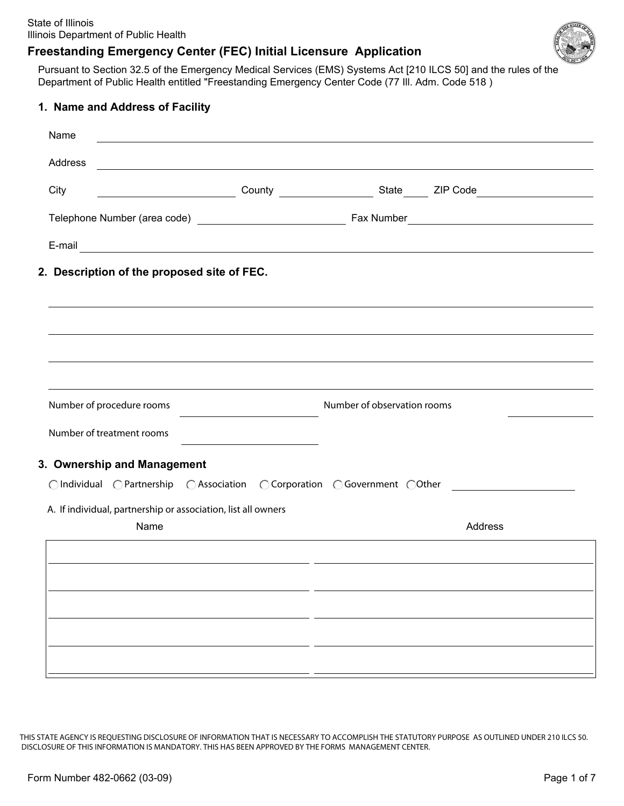

Pursuant to Section 32.5 of the Emergency Medical Services (EMS) Systems Act [210 ILCS 50] and the rules of the Department of Public Health entitled "Freestanding Emergency Center Code (77 Ill. Adm. Code 518 )

| 1. Name and Address of Facility                                                                                                                                                                                                |                             |         |
|--------------------------------------------------------------------------------------------------------------------------------------------------------------------------------------------------------------------------------|-----------------------------|---------|
| Name                                                                                                                                                                                                                           |                             |         |
| Address<br><u> 1989 - Johann Stoff, amerikansk politiker (d. 1989)</u>                                                                                                                                                         |                             |         |
| City                                                                                                                                                                                                                           |                             |         |
|                                                                                                                                                                                                                                |                             |         |
| E-mail experience and the contract of the contract of the contract of the contract of the contract of the contract of the contract of the contract of the contract of the contract of the contract of the contract of the cont |                             |         |
| 2. Description of the proposed site of FEC.                                                                                                                                                                                    |                             |         |
|                                                                                                                                                                                                                                |                             |         |
|                                                                                                                                                                                                                                |                             |         |
|                                                                                                                                                                                                                                |                             |         |
|                                                                                                                                                                                                                                |                             |         |
| Number of procedure rooms                                                                                                                                                                                                      | Number of observation rooms |         |
| Number of treatment rooms                                                                                                                                                                                                      |                             |         |
| 3. Ownership and Management                                                                                                                                                                                                    |                             |         |
| ○Individual ○Partnership ○Association ○Corporation ○Government ○Other                                                                                                                                                          |                             |         |
| A. If individual, partnership or association, list all owners                                                                                                                                                                  |                             |         |
| Name                                                                                                                                                                                                                           |                             | Address |
|                                                                                                                                                                                                                                |                             |         |
|                                                                                                                                                                                                                                |                             |         |
|                                                                                                                                                                                                                                |                             |         |
|                                                                                                                                                                                                                                |                             |         |
|                                                                                                                                                                                                                                |                             |         |
|                                                                                                                                                                                                                                |                             |         |

THIS STATE AGENCY IS REQUESTING DISCLOSURE OF INFORMATION THAT IS NECESSARY TO ACCOMPLISH THE STATUTORY PURPOSE AS OUTLINED UNDER 210 ILCS 50. DISCLOSURE OF THIS INFORMATION IS MANDATORY. THIS HAS BEEN APPROVED BY THE FORMS MANAGEMENT CENTER.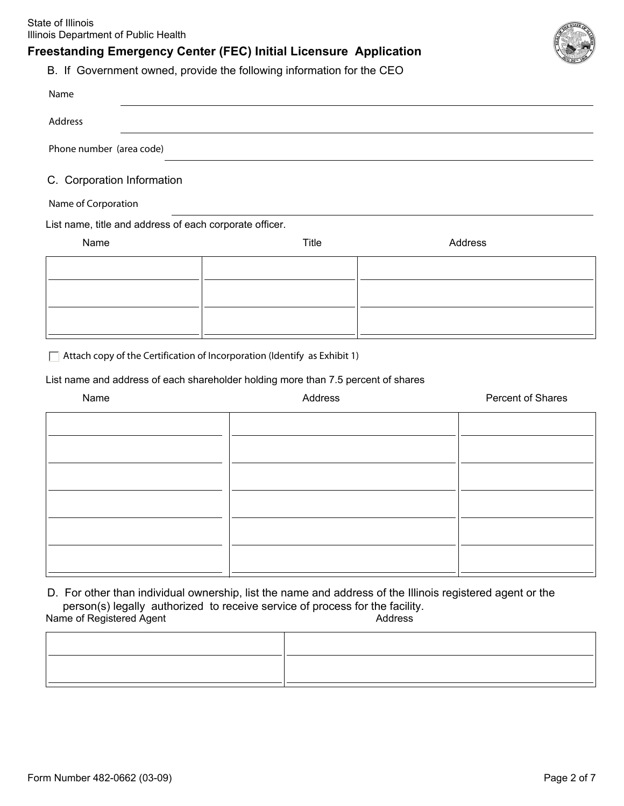State of Illinois Illinois Department of Public Health

#### **Freestanding Emergency Center (FEC) Initial Licensure Application**



B. If Government owned, provide the following information for the CEO

| Name                                                    |                                                                                   |                          |
|---------------------------------------------------------|-----------------------------------------------------------------------------------|--------------------------|
| Address                                                 |                                                                                   |                          |
| Phone number (area code)                                |                                                                                   |                          |
| C. Corporation Information                              |                                                                                   |                          |
| Name of Corporation                                     |                                                                                   |                          |
| List name, title and address of each corporate officer. |                                                                                   |                          |
| Name                                                    | Title                                                                             | Address                  |
|                                                         |                                                                                   |                          |
|                                                         |                                                                                   |                          |
|                                                         |                                                                                   |                          |
|                                                         |                                                                                   |                          |
| $\mathbf{L}$                                            | Attach copy of the Certification of Incorporation (Identify as Exhibit 1)         |                          |
|                                                         | List name and address of each shareholder holding more than 7.5 percent of shares |                          |
| Name                                                    | Address                                                                           | <b>Percent of Shares</b> |

D. For other than individual ownership, list the name and address of the Illinois registered agent or the person(s) legally authorized to receive service of process for the facility.

Name of Registered Agent Address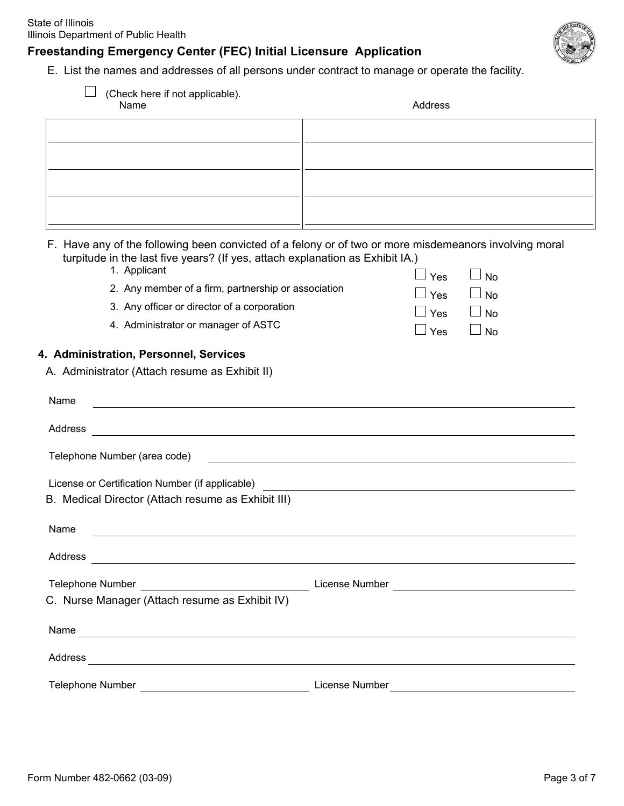E. List the names and addresses of all persons under contract to manage or operate the facility.

| (Check here if not applicable).<br>Name                                                                                                                                                                                                                                                                                                | Address                                                                                                                                                                                                                        |
|----------------------------------------------------------------------------------------------------------------------------------------------------------------------------------------------------------------------------------------------------------------------------------------------------------------------------------------|--------------------------------------------------------------------------------------------------------------------------------------------------------------------------------------------------------------------------------|
|                                                                                                                                                                                                                                                                                                                                        |                                                                                                                                                                                                                                |
|                                                                                                                                                                                                                                                                                                                                        |                                                                                                                                                                                                                                |
|                                                                                                                                                                                                                                                                                                                                        |                                                                                                                                                                                                                                |
|                                                                                                                                                                                                                                                                                                                                        |                                                                                                                                                                                                                                |
|                                                                                                                                                                                                                                                                                                                                        |                                                                                                                                                                                                                                |
| turpitude in the last five years? (If yes, attach explanation as Exhibit IA.)<br>1. Applicant<br>2. Any member of a firm, partnership or association<br>3. Any officer or director of a corporation<br>4. Administrator or manager of ASTC<br>4. Administration, Personnel, Services<br>A. Administrator (Attach resume as Exhibit II) | F. Have any of the following been convicted of a felony or of two or more misdemeanors involving moral<br>Yes<br><b>No</b><br>Yes<br>$\Box$ No<br>Yes<br>$\Box$ No<br>Yes<br><b>No</b>                                         |
| Name                                                                                                                                                                                                                                                                                                                                   |                                                                                                                                                                                                                                |
|                                                                                                                                                                                                                                                                                                                                        |                                                                                                                                                                                                                                |
| Address<br><u> 1989 - Johann Stoff, deutscher Stoffen und der Stoffen und der Stoffen und der Stoffen und der Stoffen und der</u>                                                                                                                                                                                                      |                                                                                                                                                                                                                                |
| Telephone Number (area code)                                                                                                                                                                                                                                                                                                           |                                                                                                                                                                                                                                |
| License or Certification Number (if applicable)<br>B. Medical Director (Attach resume as Exhibit III)                                                                                                                                                                                                                                  |                                                                                                                                                                                                                                |
| Name                                                                                                                                                                                                                                                                                                                                   |                                                                                                                                                                                                                                |
|                                                                                                                                                                                                                                                                                                                                        |                                                                                                                                                                                                                                |
| Telephone Number                                                                                                                                                                                                                                                                                                                       |                                                                                                                                                                                                                                |
| C. Nurse Manager (Attach resume as Exhibit IV)                                                                                                                                                                                                                                                                                         |                                                                                                                                                                                                                                |
| Name                                                                                                                                                                                                                                                                                                                                   |                                                                                                                                                                                                                                |
|                                                                                                                                                                                                                                                                                                                                        | Address and the contract of the contract of the contract of the contract of the contract of the contract of the contract of the contract of the contract of the contract of the contract of the contract of the contract of th |
|                                                                                                                                                                                                                                                                                                                                        |                                                                                                                                                                                                                                |

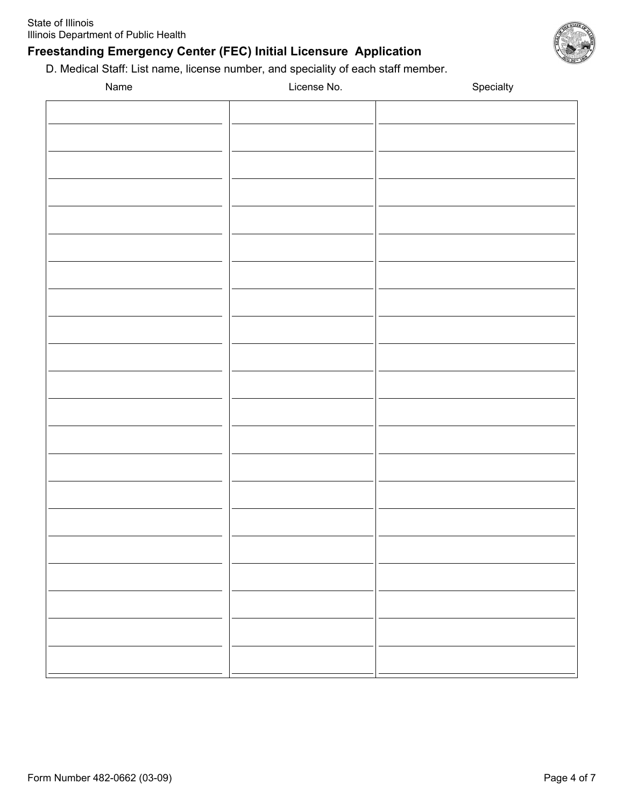D. Medical Staff: List name, license number, and speciality of each staff member.

| Name | License No. | Specialty |
|------|-------------|-----------|
|      |             |           |
|      |             |           |
|      |             |           |
|      |             |           |
|      |             |           |
|      |             |           |
|      |             |           |
|      |             |           |
|      |             |           |
|      |             |           |
|      |             |           |
|      |             |           |
|      |             |           |
|      |             |           |
|      |             |           |
|      |             |           |
|      |             |           |
|      |             |           |
|      |             |           |
|      |             |           |
|      |             |           |
|      |             |           |
|      |             |           |
|      |             |           |
|      |             |           |
|      |             |           |
|      |             |           |
|      |             |           |
|      |             |           |
|      |             |           |
|      |             |           |
|      |             |           |
|      |             |           |
|      |             |           |
|      |             |           |
|      |             |           |
|      |             |           |
|      |             |           |
|      |             |           |
|      |             |           |
|      |             |           |
|      |             |           |
|      |             |           |
|      |             |           |
|      |             |           |
|      |             |           |
|      |             |           |
|      |             |           |
|      |             |           |

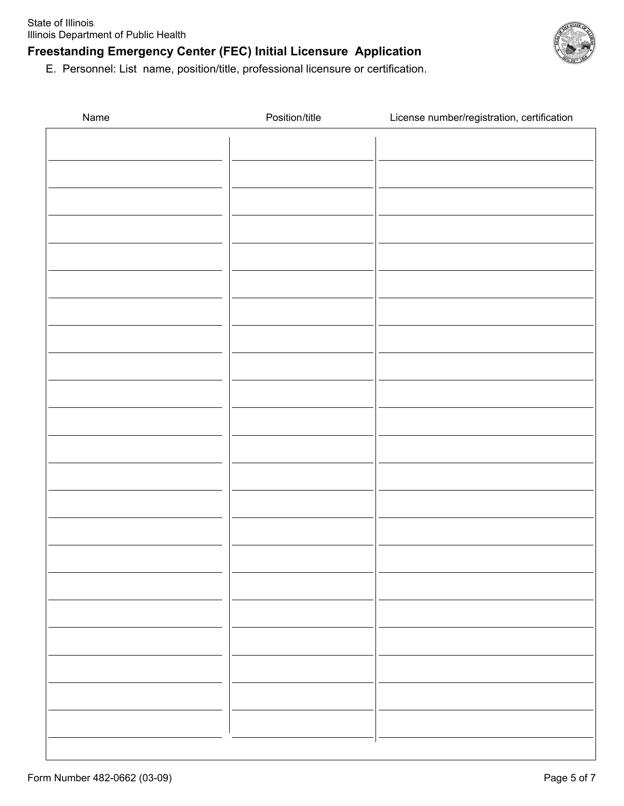

E. Personnel: List name, position/title, professional licensure or certification.

| Name | Position/title | License number/registration, certification |
|------|----------------|--------------------------------------------|
|      |                |                                            |
|      |                |                                            |
|      |                |                                            |
|      |                |                                            |
|      |                |                                            |
|      |                |                                            |
|      |                |                                            |
|      |                |                                            |
|      |                |                                            |
|      |                |                                            |
|      |                |                                            |
|      |                |                                            |
|      |                |                                            |
|      |                |                                            |
|      |                |                                            |
|      |                |                                            |
|      |                |                                            |
|      |                |                                            |
|      |                |                                            |
|      |                |                                            |
|      |                |                                            |
|      |                |                                            |
|      |                |                                            |
|      |                |                                            |
|      |                |                                            |
|      |                |                                            |
|      |                |                                            |
|      |                |                                            |
|      |                |                                            |
|      |                |                                            |
|      |                |                                            |
|      |                |                                            |
|      |                |                                            |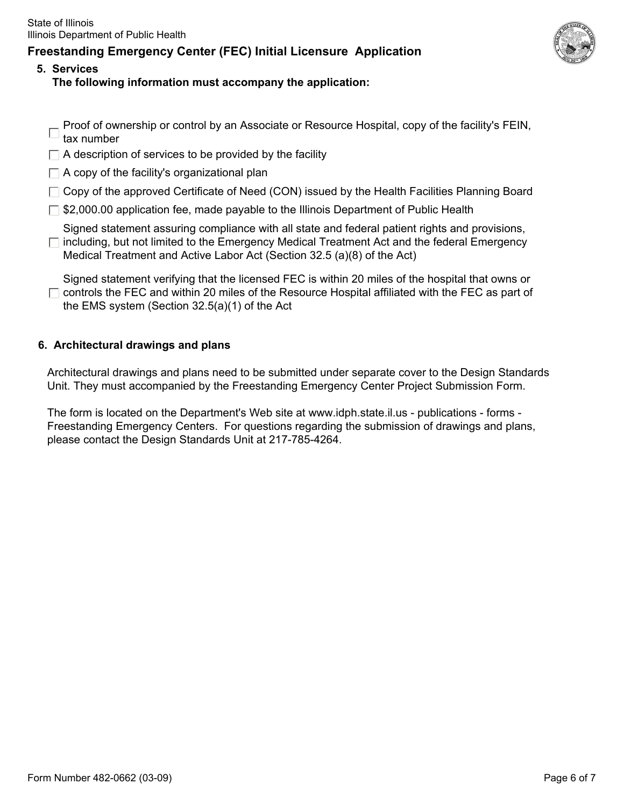

- **5. Services The following information must accompany the application:** 
	- Proof of ownership or control by an Associate or Resource Hospital, copy of the facility's FEIN,
	- tax number
	- $\Box$  A description of services to be provided by the facility
	- $\Box$  A copy of the facility's organizational plan
	- $\Box$  Copy of the approved Certificate of Need (CON) issued by the Health Facilities Planning Board
	- $\Box$  \$2,000.00 application fee, made payable to the Illinois Department of Public Health

Signed statement assuring compliance with all state and federal patient rights and provisions,  $\Box$  including, but not limited to the Emergency Medical Treatment Act and the federal Emergency

Medical Treatment and Active Labor Act (Section 32.5 (a)(8) of the Act)

Signed statement verifying that the licensed FEC is within 20 miles of the hospital that owns or  $\Box$  controls the FEC and within 20 miles of the Resource Hospital affiliated with the FEC as part of the EMS system (Section 32.5(a)(1) of the Act

#### **6. Architectural drawings and plans**

Architectural drawings and plans need to be submitted under separate cover to the Design Standards Unit. They must accompanied by the Freestanding Emergency Center Project Submission Form.

The form is located on the Department's Web site at www.idph.state.il.us - publications - forms - Freestanding Emergency Centers. For questions regarding the submission of drawings and plans, please contact the Design Standards Unit at 217-785-4264.